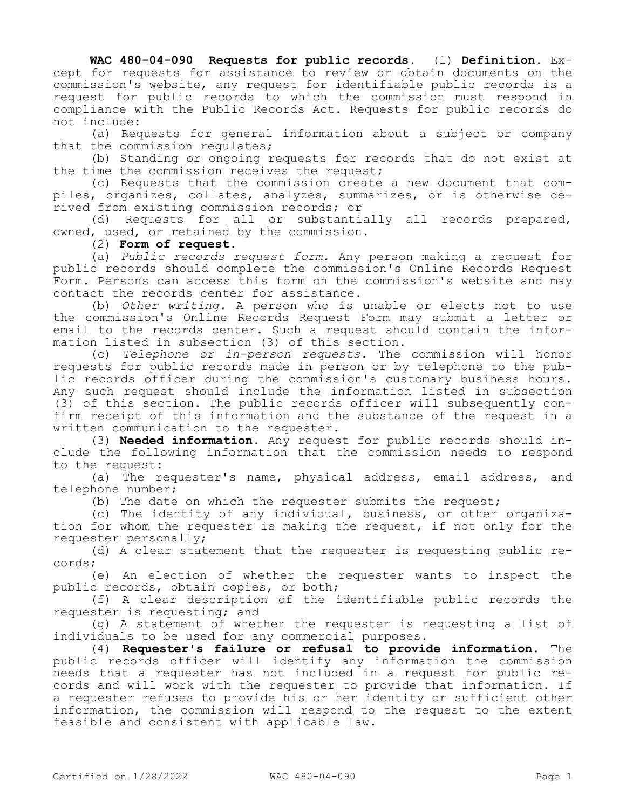**WAC 480-04-090 Requests for public records.** (1) **Definition.** Except for requests for assistance to review or obtain documents on the commission's website, any request for identifiable public records is a request for public records to which the commission must respond in compliance with the Public Records Act. Requests for public records do not include:

(a) Requests for general information about a subject or company that the commission regulates;

(b) Standing or ongoing requests for records that do not exist at the time the commission receives the request;

(c) Requests that the commission create a new document that compiles, organizes, collates, analyzes, summarizes, or is otherwise derived from existing commission records; or

(d) Requests for all or substantially all records prepared, owned, used, or retained by the commission.

## (2) **Form of request.**

(a) *Public records request form.* Any person making a request for public records should complete the commission's Online Records Request Form. Persons can access this form on the commission's website and may contact the records center for assistance.

(b) *Other writing.* A person who is unable or elects not to use the commission's Online Records Request Form may submit a letter or email to the records center. Such a request should contain the information listed in subsection (3) of this section.

(c) *Telephone or in-person requests.* The commission will honor requests for public records made in person or by telephone to the public records officer during the commission's customary business hours. Any such request should include the information listed in subsection (3) of this section. The public records officer will subsequently confirm receipt of this information and the substance of the request in a written communication to the requester.

(3) **Needed information.** Any request for public records should include the following information that the commission needs to respond to the request:

(a) The requester's name, physical address, email address, and telephone number;

(b) The date on which the requester submits the request;

(c) The identity of any individual, business, or other organization for whom the requester is making the request, if not only for the requester personally;

(d) A clear statement that the requester is requesting public records;

(e) An election of whether the requester wants to inspect the public records, obtain copies, or both;

(f) A clear description of the identifiable public records the requester is requesting; and

(g) A statement of whether the requester is requesting a list of individuals to be used for any commercial purposes.

(4) **Requester's failure or refusal to provide information.** The public records officer will identify any information the commission needs that a requester has not included in a request for public records and will work with the requester to provide that information. If a requester refuses to provide his or her identity or sufficient other information, the commission will respond to the request to the extent feasible and consistent with applicable law.